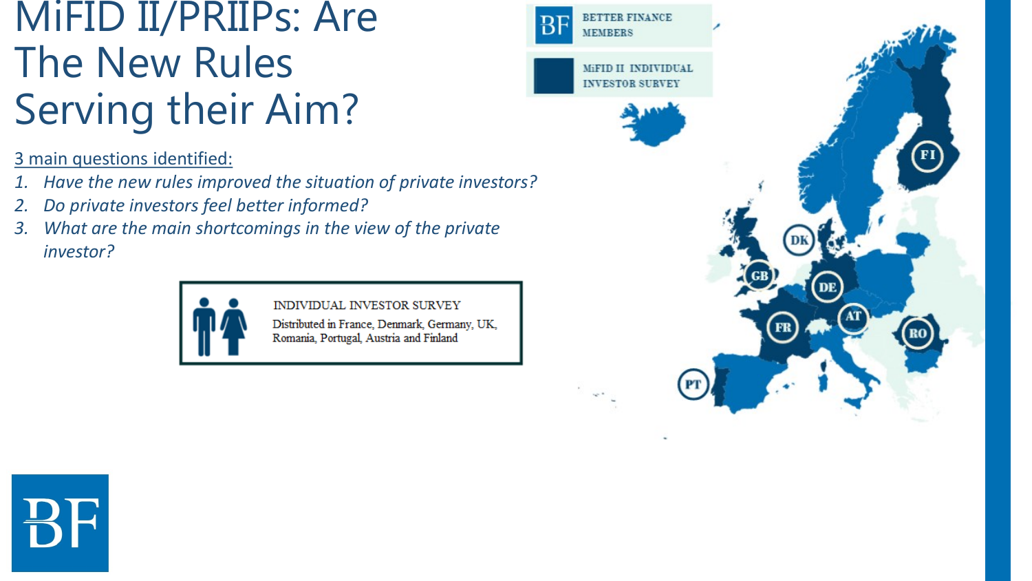3 main questions identified:

- *1. Have the new rules improved the situation of private investors?*
- *2. Do private investors feel better informed?*
- *3. What are the main shortcomings in the view of the private investor?*



INDIVIDUAL INVESTOR SURVEY

Distributed in France, Denmark, Germany, UK, Romania, Portugal, Austria and Finland



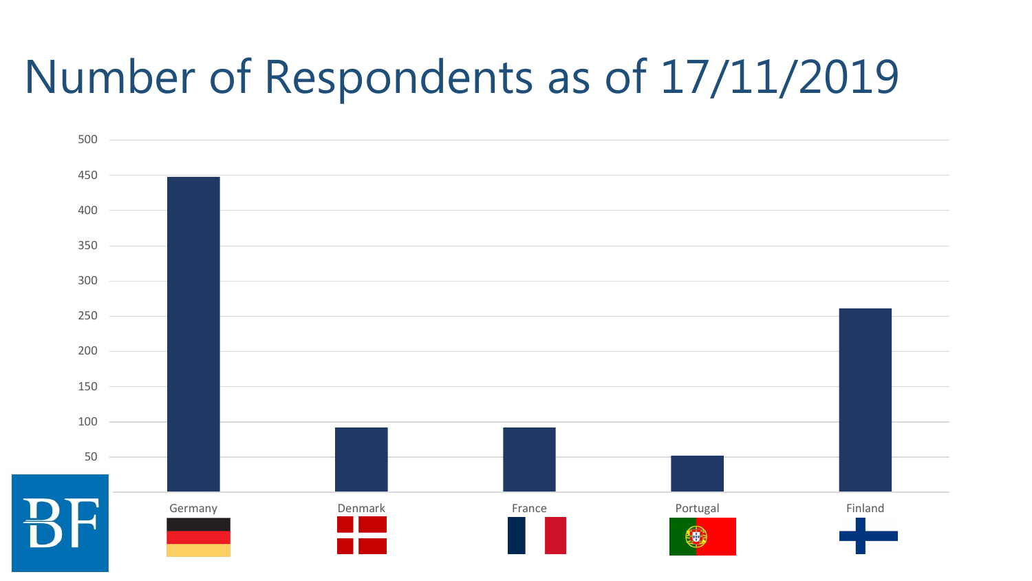# Number of Respondents as of 17/11/2019

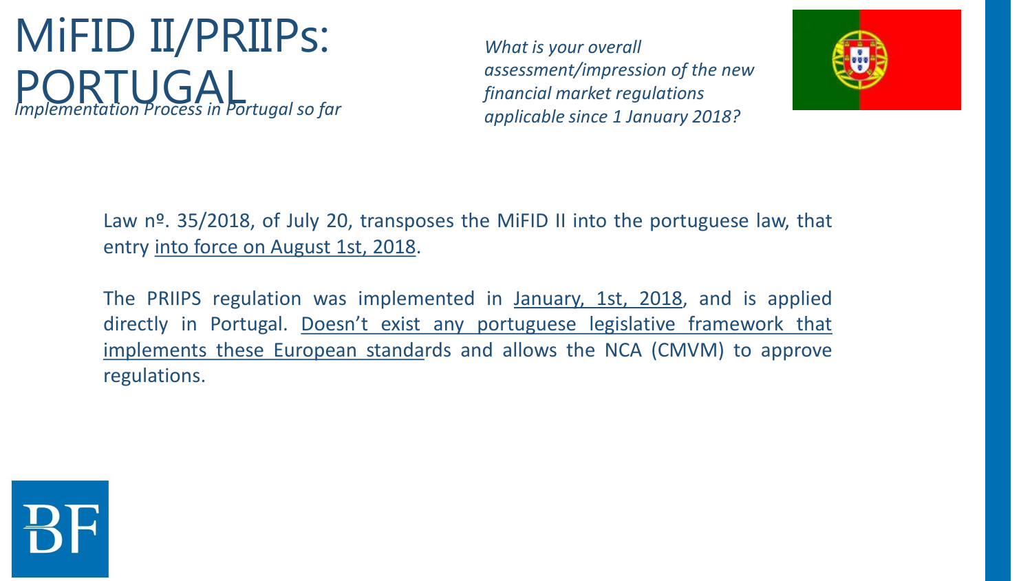# MiFID II/PRIIPs: *Implementation Process in Portugal so far*

*What is your overall assessment/impression of the new financial market regulations applicable since 1 January 2018?*



Law nº. 35/2018, of July 20, transposes the MiFID II into the portuguese law, that entry into force on August 1st, 2018.

The PRIIPS regulation was implemented in January, 1st, 2018, and is applied directly in Portugal. Doesn't exist any portuguese legislative framework that implements these European standards and allows the NCA (CMVM) to approve regulations.

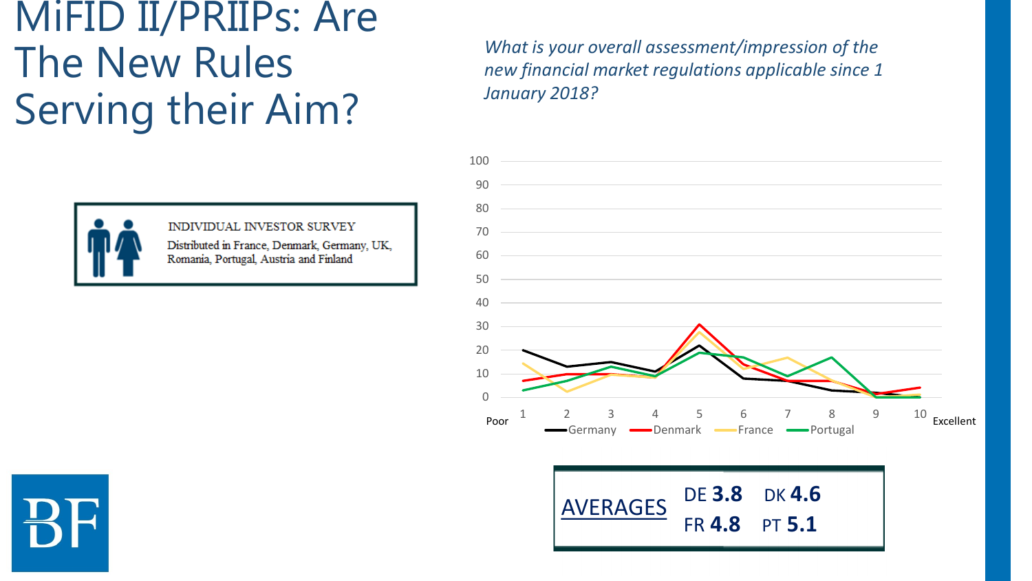

**INDIVIDUAL INVESTOR SURVEY** Distributed in France, Denmark, Germany, UK, Romania, Portugal, Austria and Finland

*What is your overall assessment/impression of the new financial market regulations applicable since 1 January 2018?*



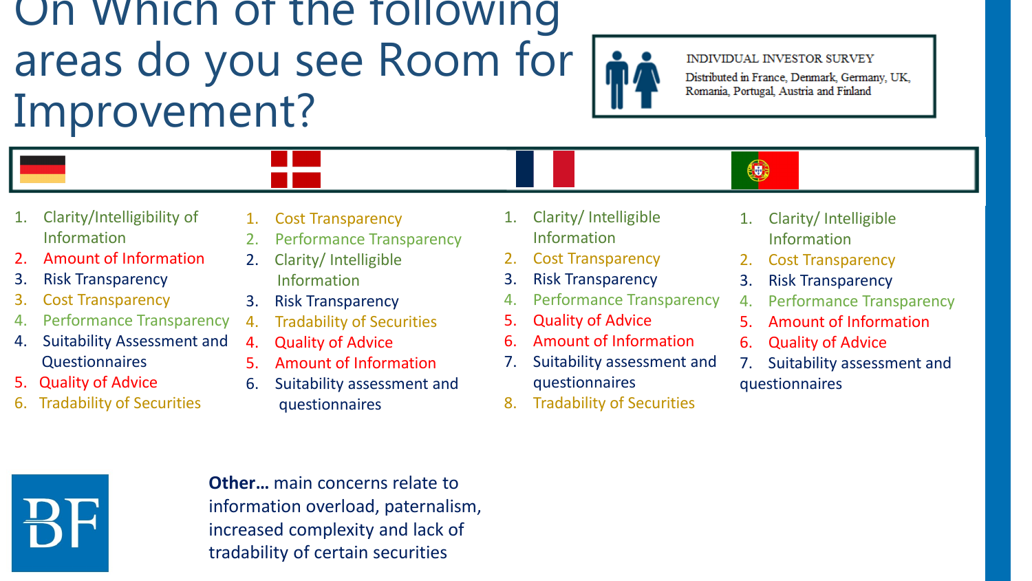### On Which of the following areas do you see Room for Improvement?



#### INDIVIDUAL INVESTOR SURVEY

Distributed in France, Denmark, Germany, UK, Romania, Portugal, Austria and Finland



- 1. Clarity/Intelligibility of Information
- 2. Amount of Information
- 3. Risk Transparency
- 3. Cost Transparency
- Performance Transparency
- 4. Suitability Assessment and Questionnaires
- 5. Quality of Advice
- **Tradability of Securities**
- 1. Cost Transparency
- 2. Performance Transparency
- 2. Clarity/ Intelligible Information
- 3. Risk Transparency
- 4. Tradability of Securities
- 4. Quality of Advice
- 5. Amount of Information
- 6. Suitability assessment and questionnaires
- 1. Clarity/ Intelligible Information
- 2. Cost Transparency
- 3. Risk Transparency
- 4. Performance Transparency
- 5. Quality of Advice
- 6. Amount of Information
- 7. Suitability assessment and questionnaires
- 8. Tradability of Securities
- 1. Clarity/ Intelligible Information
- 2. Cost Transparency
- 3. Risk Transparency
- 4. Performance Transparency
- 5. Amount of Information
- 6. Quality of Advice
- 7. Suitability assessment and questionnaires



**Other…** main concerns relate to information overload, paternalism, increased complexity and lack of tradability of certain securities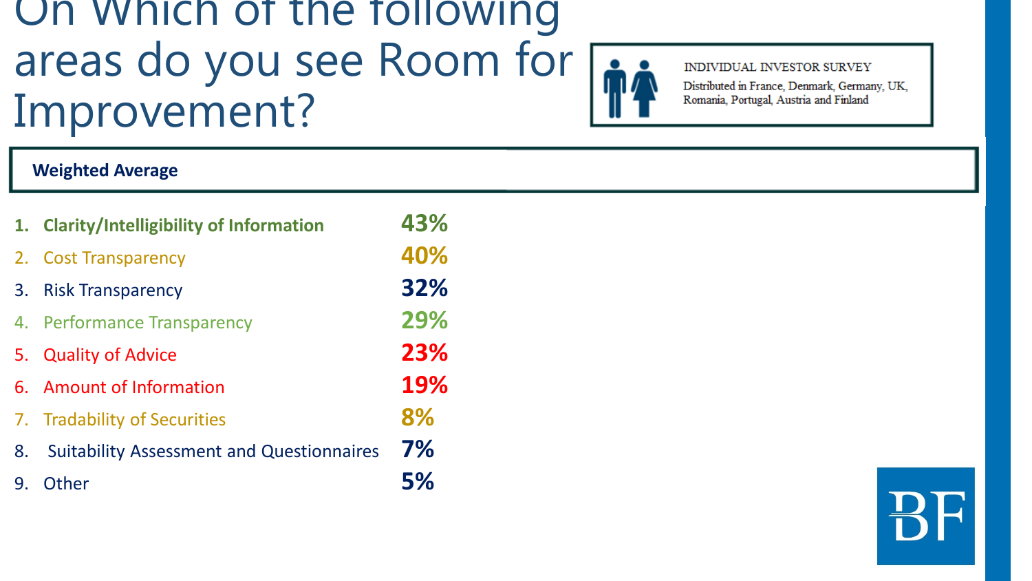## On Which of the following areas do you see Room for L Improvement?



#### INDIVIDUAL INVESTOR SURVEY

Distributed in France, Denmark, Germany, UK, Romania, Portugal, Austria and Finland

#### **Weighted Average**

|    | 1. Clarity/Intelligibility of Information        | 43% |
|----|--------------------------------------------------|-----|
|    | 2. Cost Transparency                             | 40% |
| 3. | <b>Risk Transparency</b>                         | 32% |
|    | 4. Performance Transparency                      | 29% |
|    | 5. Quality of Advice                             | 23% |
|    | 6. Amount of Information                         | 19% |
|    | 7. Tradability of Securities                     | 8%  |
| 8. | <b>Suitability Assessment and Questionnaires</b> | 7%  |
| 9. | Other                                            | 5%  |

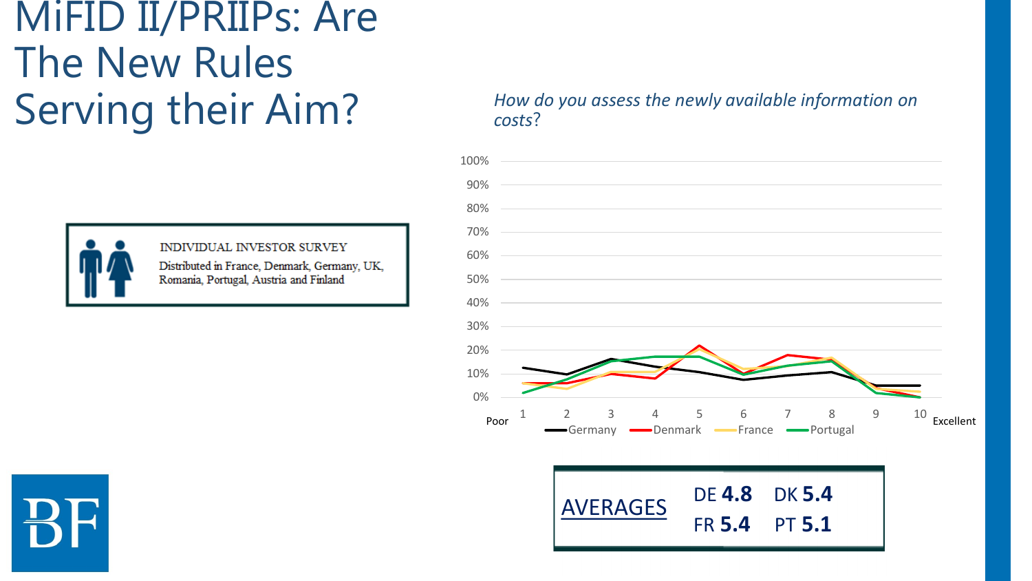



INDIVIDUAL INVESTOR SURVEY Distributed in France, Denmark, Germany, UK, Romania, Portugal, Austria and Finland



AVERAGES

FR **5.4** PT **5.1**

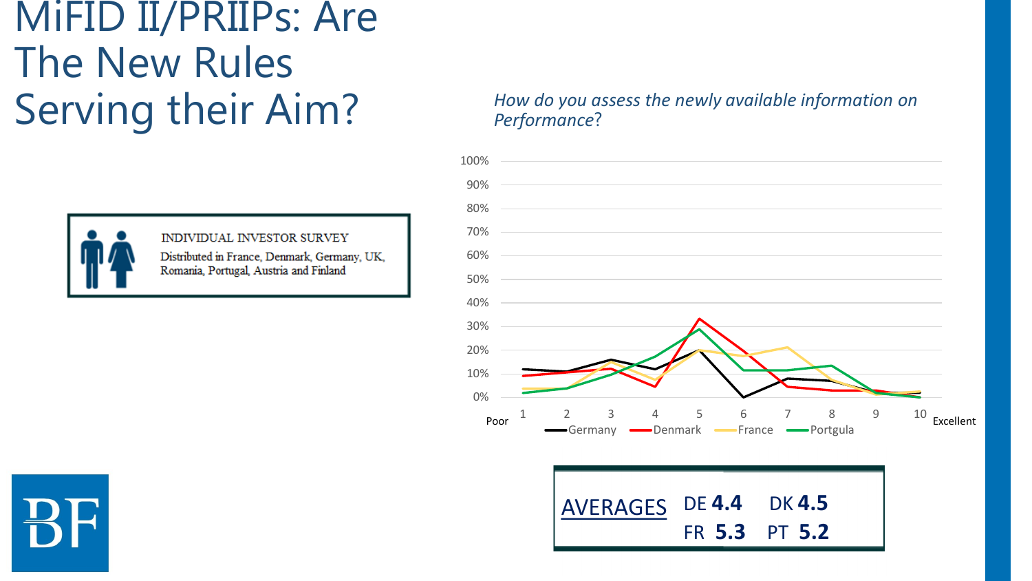

INDIVIDUAL INVESTOR SURVEY Distributed in France, Denmark, Germany, UK, Romania, Portugal, Austria and Finland

#### *How do you assess the newly available information on Performance*?



FR **5.3** PT **5.2**

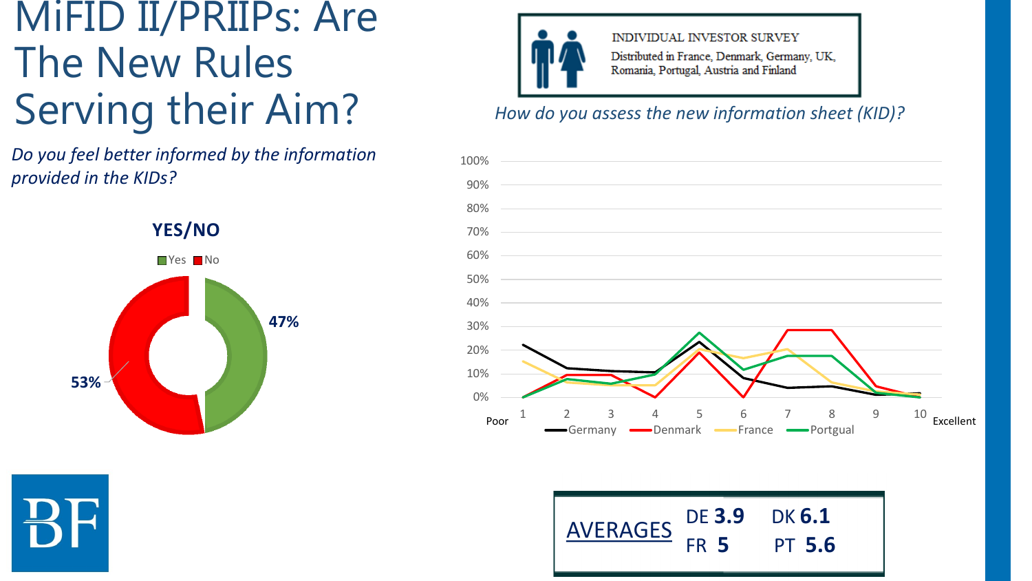## MiFID II/PRIIPs: Are The New Rules Serving their Aim? *How do you assess the new information sheet (KID)?*

*Do you feel better informed by the information provided in the KIDs?*







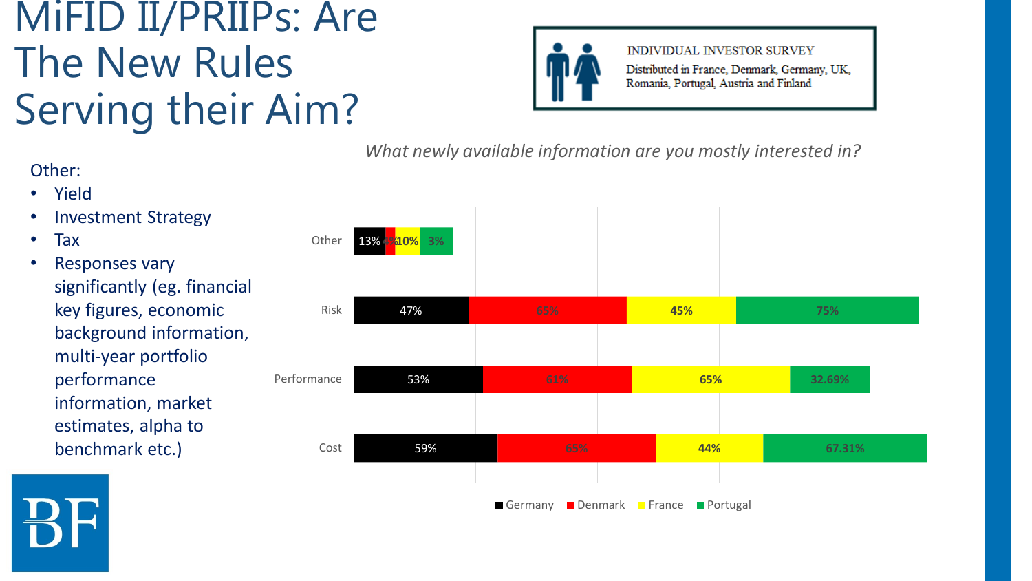

INDIVIDUAL INVESTOR SURVEY Distributed in France, Denmark, Germany, UK, Romania, Portugal, Austria and Finland

**67.31%**

*What newly available information are you mostly interested in?*



Germany **Denmark France Portugal** 

#### Other:

- Yield
- Investment Strategy
- Tax
- Responses vary significantly (eg. financial key figures, economic background information, multi-year portfolio performance information, market estimates, alpha to benchmark etc.)